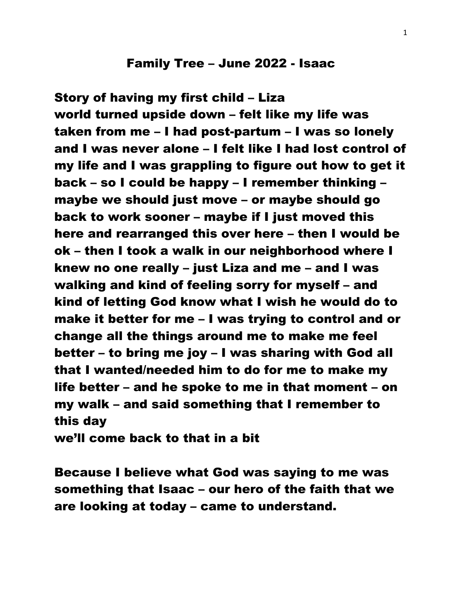#### Family Tree – June 2022 - Isaac

Story of having my first child – Liza world turned upside down – felt like my life was taken from me – I had post-partum – I was so lonely and I was never alone – I felt like I had lost control of my life and I was grappling to figure out how to get it back – so I could be happy – I remember thinking – maybe we should just move – or maybe should go back to work sooner – maybe if I just moved this here and rearranged this over here – then I would be ok – then I took a walk in our neighborhood where I knew no one really – just Liza and me – and I was walking and kind of feeling sorry for myself – and kind of letting God know what I wish he would do to make it better for me – I was trying to control and or change all the things around me to make me feel better – to bring me joy – I was sharing with God all that I wanted/needed him to do for me to make my life better – and he spoke to me in that moment – on my walk – and said something that I remember to this day

we'll come back to that in a bit

Because I believe what God was saying to me was something that Isaac – our hero of the faith that we are looking at today – came to understand.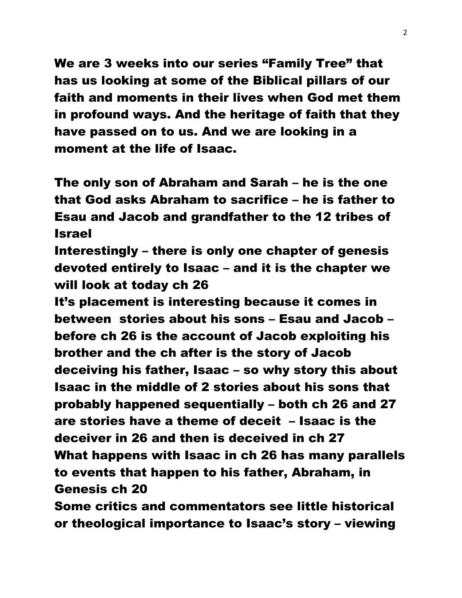We are 3 weeks into our series "Family Tree" that has us looking at some of the Biblical pillars of our faith and moments in their lives when God met them in profound ways. And the heritage of faith that they have passed on to us. And we are looking in a moment at the life of Isaac.

The only son of Abraham and Sarah – he is the one that God asks Abraham to sacrifice – he is father to Esau and Jacob and grandfather to the 12 tribes of Israel

Interestingly – there is only one chapter of genesis devoted entirely to Isaac – and it is the chapter we will look at today ch 26

It's placement is interesting because it comes in between stories about his sons – Esau and Jacob – before ch 26 is the account of Jacob exploiting his brother and the ch after is the story of Jacob deceiving his father, Isaac – so why story this about Isaac in the middle of 2 stories about his sons that probably happened sequentially – both ch 26 and 27 are stories have a theme of deceit – Isaac is the deceiver in 26 and then is deceived in ch 27 What happens with Isaac in ch 26 has many parallels to events that happen to his father, Abraham, in Genesis ch 20

Some critics and commentators see little historical or theological importance to Isaac's story – viewing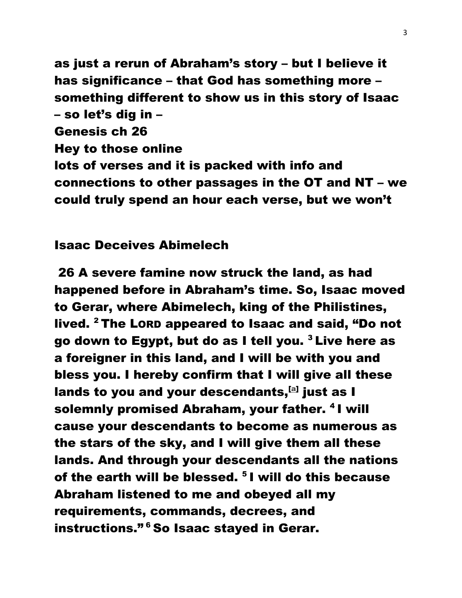as just a rerun of Abraham's story – but I believe it has significance – that God has something more – something different to show us in this story of Isaac – so let's dig in – Genesis ch 26 Hey to those online lots of verses and it is packed with info and connections to other passages in the OT and NT – we could truly spend an hour each verse, but we won't

#### Isaac Deceives Abimelech

26 A severe famine now struck the land, as had happened before in Abraham's time. So, Isaac moved to Gerar, where Abimelech, king of the Philistines, lived. <sup>2</sup> The LORD appeared to Isaac and said, "Do not go down to Egypt, but do as I tell you. <sup>3</sup> Live here as a foreigner in this land, and I will be with you and bless you. I hereby confirm that I will give all these lands to you and your descendants, $^{[a]}$  just as I solemnly promised Abraham, your father. <sup>4</sup> I will cause your descendants to become as numerous as the stars of the sky, and I will give them all these lands. And through your descendants all the nations of the earth will be blessed.  $5$  I will do this because Abraham listened to me and obeyed all my requirements, commands, decrees, and instructions." <sup>6</sup> So Isaac stayed in Gerar.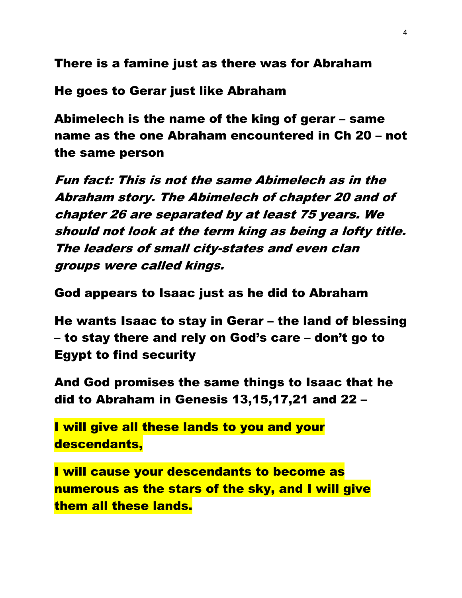There is a famine just as there was for Abraham

He goes to Gerar just like Abraham

Abimelech is the name of the king of gerar – same name as the one Abraham encountered in Ch 20 – not the same person

Fun fact: This is not the same Abimelech as in the Abraham story. The Abimelech of chapter 20 and of chapter 26 are separated by at least 75 years. We should not look at the term king as being a lofty title. The leaders of small city-states and even clan groups were called kings.

God appears to Isaac just as he did to Abraham

He wants Isaac to stay in Gerar – the land of blessing – to stay there and rely on God's care – don't go to Egypt to find security

And God promises the same things to Isaac that he did to Abraham in Genesis 13,15,17,21 and 22 –

I will give all these lands to you and your descendants,

I will cause your descendants to become as numerous as the stars of the sky, and I will give them all these lands.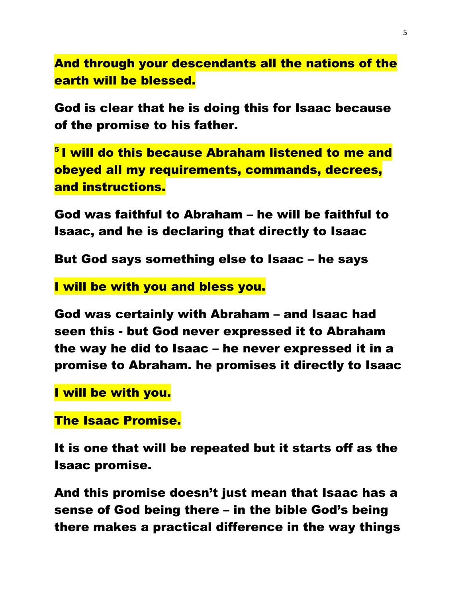And through your descendants all the nations of the earth will be blessed.

God is clear that he is doing this for Isaac because of the promise to his father.

<sup>5</sup> I will do this because Abraham listened to me and obeyed all my requirements, commands, decrees, and instructions.

God was faithful to Abraham – he will be faithful to Isaac, and he is declaring that directly to Isaac

But God says something else to Isaac – he says

I will be with you and bless you.

God was certainly with Abraham – and Isaac had seen this - but God never expressed it to Abraham the way he did to Isaac – he never expressed it in a promise to Abraham. he promises it directly to Isaac

I will be with you.

The Isaac Promise.

It is one that will be repeated but it starts off as the Isaac promise.

And this promise doesn't just mean that Isaac has a sense of God being there – in the bible God's being there makes a practical difference in the way things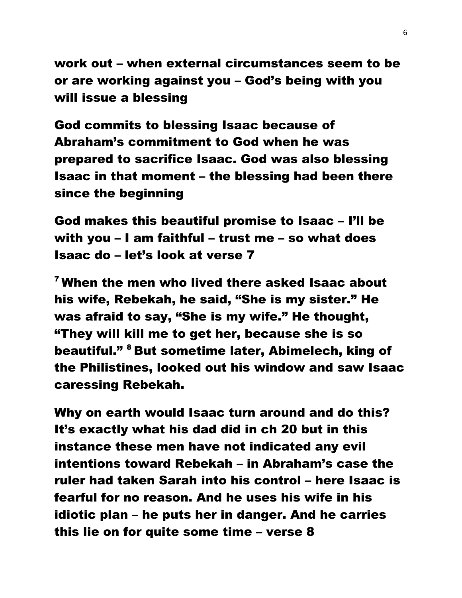work out – when external circumstances seem to be or are working against you – God's being with you will issue a blessing

God commits to blessing Isaac because of Abraham's commitment to God when he was prepared to sacrifice Isaac. God was also blessing Isaac in that moment – the blessing had been there since the beginning

God makes this beautiful promise to Isaac – I'll be with you – I am faithful – trust me – so what does Isaac do – let's look at verse 7

<sup>7</sup> When the men who lived there asked Isaac about his wife, Rebekah, he said, "She is my sister." He was afraid to say, "She is my wife." He thought, "They will kill me to get her, because she is so beautiful." <sup>8</sup> But sometime later, Abimelech, king of the Philistines, looked out his window and saw Isaac caressing Rebekah.

Why on earth would Isaac turn around and do this? It's exactly what his dad did in ch 20 but in this instance these men have not indicated any evil intentions toward Rebekah – in Abraham's case the ruler had taken Sarah into his control – here Isaac is fearful for no reason. And he uses his wife in his idiotic plan – he puts her in danger. And he carries this lie on for quite some time – verse 8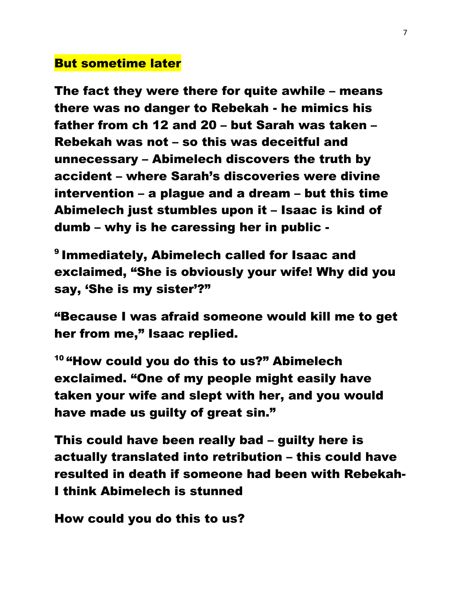### But sometime later

The fact they were there for quite awhile – means there was no danger to Rebekah - he mimics his father from ch 12 and 20 – but Sarah was taken – Rebekah was not – so this was deceitful and unnecessary – Abimelech discovers the truth by accident – where Sarah's discoveries were divine intervention – a plague and a dream – but this time Abimelech just stumbles upon it – Isaac is kind of dumb – why is he caressing her in public -

<sup>9</sup> Immediately, Abimelech called for Isaac and exclaimed, "She is obviously your wife! Why did you say, 'She is my sister'?"

"Because I was afraid someone would kill me to get her from me," Isaac replied.

<sup>10</sup> "How could you do this to us?" Abimelech exclaimed. "One of my people might easily have taken your wife and slept with her, and you would have made us guilty of great sin."

This could have been really bad – guilty here is actually translated into retribution – this could have resulted in death if someone had been with Rebekah-I think Abimelech is stunned

How could you do this to us?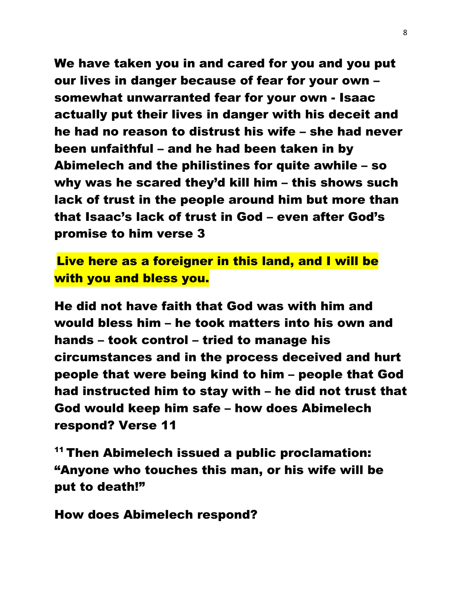We have taken you in and cared for you and you put our lives in danger because of fear for your own – somewhat unwarranted fear for your own - Isaac actually put their lives in danger with his deceit and he had no reason to distrust his wife – she had never been unfaithful – and he had been taken in by Abimelech and the philistines for quite awhile – so why was he scared they'd kill him – this shows such lack of trust in the people around him but more than that Isaac's lack of trust in God – even after God's promise to him verse 3

Live here as a foreigner in this land, and I will be with you and bless you.

He did not have faith that God was with him and would bless him – he took matters into his own and hands – took control – tried to manage his circumstances and in the process deceived and hurt people that were being kind to him – people that God had instructed him to stay with – he did not trust that God would keep him safe – how does Abimelech respond? Verse 11

<sup>11</sup> Then Abimelech issued a public proclamation: "Anyone who touches this man, or his wife will be put to death!"

How does Abimelech respond?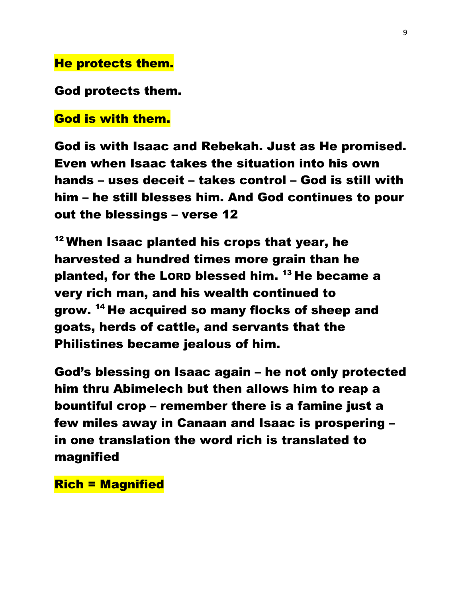## He protects them.

#### God protects them.

God is with them.

God is with Isaac and Rebekah. Just as He promised. Even when Isaac takes the situation into his own hands – uses deceit – takes control – God is still with him – he still blesses him. And God continues to pour out the blessings – verse 12

<sup>12</sup> When Isaac planted his crops that year, he harvested a hundred times more grain than he planted, for the LORD blessed him.  $13$  He became a very rich man, and his wealth continued to grow. <sup>14</sup> He acquired so many flocks of sheep and goats, herds of cattle, and servants that the Philistines became jealous of him.

God's blessing on Isaac again – he not only protected him thru Abimelech but then allows him to reap a bountiful crop – remember there is a famine just a few miles away in Canaan and Isaac is prospering – in one translation the word rich is translated to magnified

Rich = Magnified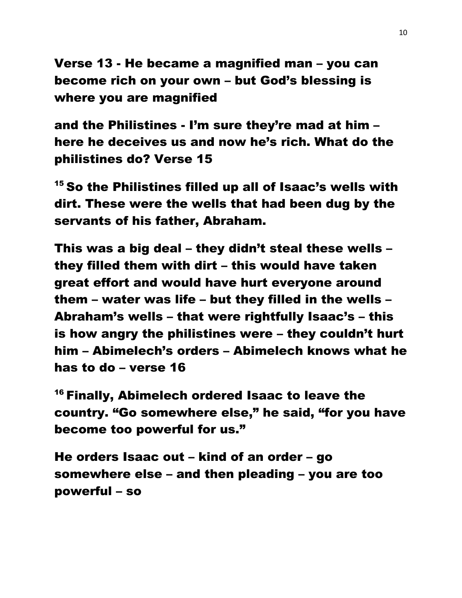Verse 13 - He became a magnified man – you can become rich on your own – but God's blessing is where you are magnified

and the Philistines - I'm sure they're mad at him – here he deceives us and now he's rich. What do the philistines do? Verse 15

<sup>15</sup> So the Philistines filled up all of Isaac's wells with dirt. These were the wells that had been dug by the servants of his father, Abraham.

This was a big deal – they didn't steal these wells – they filled them with dirt – this would have taken great effort and would have hurt everyone around them – water was life – but they filled in the wells – Abraham's wells – that were rightfully Isaac's – this is how angry the philistines were – they couldn't hurt him – Abimelech's orders – Abimelech knows what he has to do – verse 16

<sup>16</sup> Finally, Abimelech ordered Isaac to leave the country. "Go somewhere else," he said, "for you have become too powerful for us."

He orders Isaac out – kind of an order – go somewhere else – and then pleading – you are too powerful – so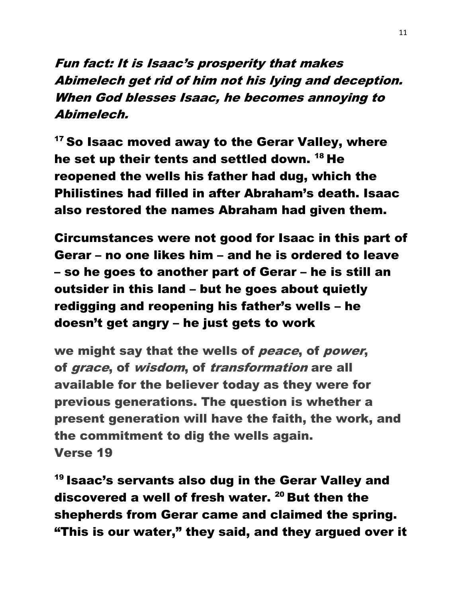Fun fact: It is Isaac's prosperity that makes Abimelech get rid of him not his lying and deception. When God blesses Isaac, he becomes annoying to Abimelech.

<sup>17</sup> So Isaac moved away to the Gerar Valley, where he set up their tents and settled down. <sup>18</sup> He reopened the wells his father had dug, which the Philistines had filled in after Abraham's death. Isaac also restored the names Abraham had given them.

Circumstances were not good for Isaac in this part of Gerar – no one likes him – and he is ordered to leave – so he goes to another part of Gerar – he is still an outsider in this land – but he goes about quietly redigging and reopening his father's wells – he doesn't get angry – he just gets to work

we might say that the wells of peace, of power, of grace, of wisdom, of transformation are all available for the believer today as they were for previous generations. The question is whether a present generation will have the faith, the work, and the commitment to dig the wells again. Verse 19

<sup>19</sup> Isaac's servants also dug in the Gerar Valley and discovered a well of fresh water. <sup>20</sup> But then the shepherds from Gerar came and claimed the spring. "This is our water," they said, and they argued over it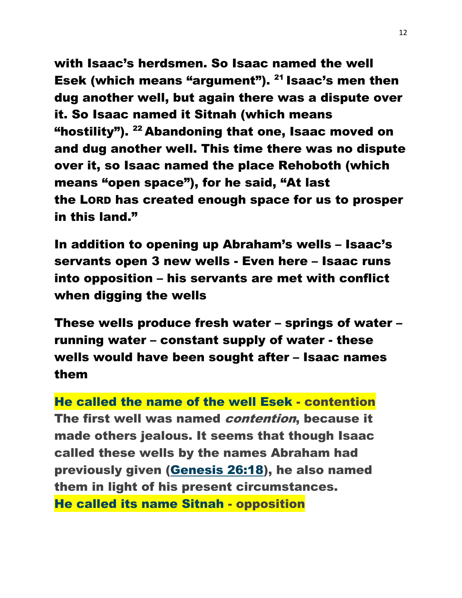with Isaac's herdsmen. So Isaac named the well Esek (which means "argument"). <sup>21</sup> Isaac's men then dug another well, but again there was a dispute over it. So Isaac named it Sitnah (which means "hostility"). <sup>22</sup> Abandoning that one, Isaac moved on and dug another well. This time there was no dispute over it, so Isaac named the place Rehoboth (which means "open space"), for he said, "At last the LORD has created enough space for us to prosper in this land."

In addition to opening up Abraham's wells – Isaac's servants open 3 new wells - Even here – Isaac runs into opposition – his servants are met with conflict when digging the wells

These wells produce fresh water – springs of water – running water – constant supply of water - these wells would have been sought after – Isaac names them

He called the name of the well Esek - contention The first well was named *contention*, because it made others jealous. It seems that though Isaac called these wells by the names Abraham had previously given (Genesis 26:18), he also named them in light of his present circumstances. He called its name Sitnah - opposition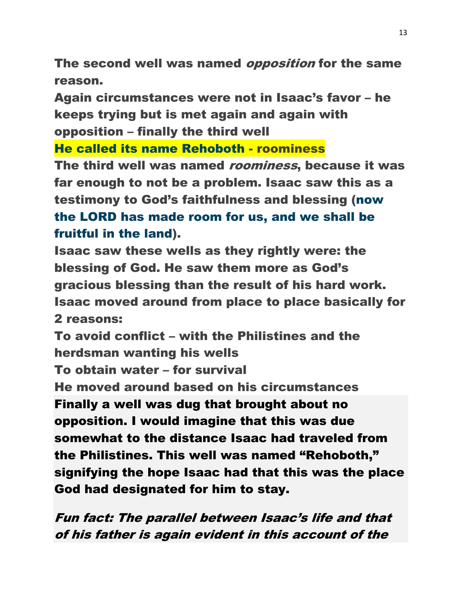The second well was named *opposition* for the same reason.

Again circumstances were not in Isaac's favor – he keeps trying but is met again and again with opposition – finally the third well

He called its name Rehoboth - roominess

The third well was named *roominess*, because it was far enough to not be a problem. Isaac saw this as a testimony to God's faithfulness and blessing (now the LORD has made room for us, and we shall be fruitful in the land).

Isaac saw these wells as they rightly were: the blessing of God. He saw them more as God's gracious blessing than the result of his hard work. Isaac moved around from place to place basically for 2 reasons:

To avoid conflict – with the Philistines and the herdsman wanting his wells

To obtain water – for survival

He moved around based on his circumstances Finally a well was dug that brought about no opposition. I would imagine that this was due somewhat to the distance Isaac had traveled from the Philistines. This well was named "Rehoboth," signifying the hope Isaac had that this was the place God had designated for him to stay.

Fun fact: The parallel between Isaac's life and that of his father is again evident in this account of the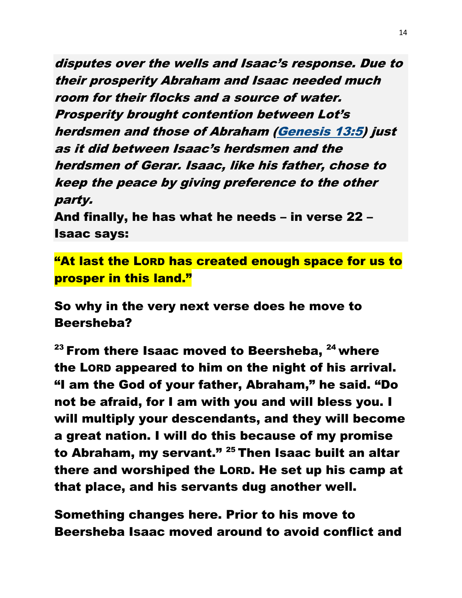disputes over the wells and Isaac's response. Due to their prosperity Abraham and Isaac needed much room for their flocks and a source of water. Prosperity brought contention between Lot's herdsmen and those of Abraham (Genesis 13:5) just as it did between Isaac's herdsmen and the herdsmen of Gerar. Isaac, like his father, chose to keep the peace by giving preference to the other party.

And finally, he has what he needs – in verse 22 – Isaac says:

"At last the LORD has created enough space for us to prosper in this land."

So why in the very next verse does he move to Beersheba?

 $23$  From there Isaac moved to Beersheba,  $24$  where the LORD appeared to him on the night of his arrival. "I am the God of your father, Abraham," he said. "Do not be afraid, for I am with you and will bless you. I will multiply your descendants, and they will become a great nation. I will do this because of my promise to Abraham, my servant."<sup>25</sup> Then Isaac built an altar there and worshiped the LORD. He set up his camp at that place, and his servants dug another well.

Something changes here. Prior to his move to Beersheba Isaac moved around to avoid conflict and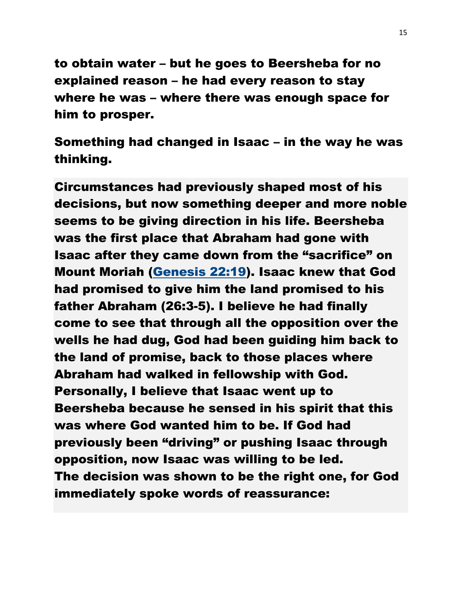to obtain water – but he goes to Beersheba for no explained reason – he had every reason to stay where he was – where there was enough space for him to prosper.

Something had changed in Isaac – in the way he was thinking.

Circumstances had previously shaped most of his decisions, but now something deeper and more noble seems to be giving direction in his life. Beersheba was the first place that Abraham had gone with Isaac after they came down from the "sacrifice" on Mount Moriah (Genesis 22:19). Isaac knew that God had promised to give him the land promised to his father Abraham (26:3-5). I believe he had finally come to see that through all the opposition over the wells he had dug, God had been guiding him back to the land of promise, back to those places where Abraham had walked in fellowship with God. Personally, I believe that Isaac went up to Beersheba because he sensed in his spirit that this was where God wanted him to be. If God had previously been "driving" or pushing Isaac through opposition, now Isaac was willing to be led. The decision was shown to be the right one, for God immediately spoke words of reassurance: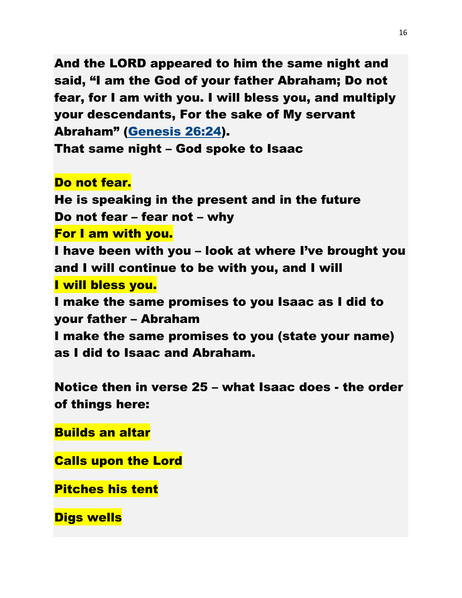And the LORD appeared to him the same night and said, "I am the God of your father Abraham; Do not fear, for I am with you. I will bless you, and multiply your descendants, For the sake of My servant Abraham" (Genesis 26:24).

That same night – God spoke to Isaac

# Do not fear.

He is speaking in the present and in the future Do not fear – fear not – why For I am with you. I have been with you – look at where I've brought you and I will continue to be with you, and I will I will bless you. I make the same promises to you Isaac as I did to your father – Abraham I make the same promises to you (state your name) as I did to Isaac and Abraham.

Notice then in verse 25 – what Isaac does - the order of things here:

Builds an altar

Calls upon the Lord

Pitches his tent

Digs wells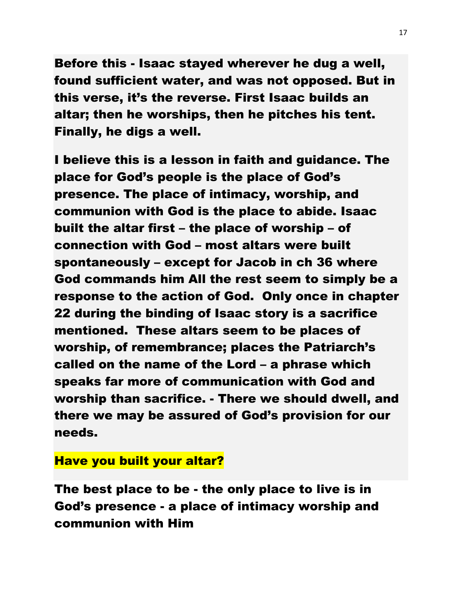Before this - Isaac stayed wherever he dug a well, found sufficient water, and was not opposed. But in this verse, it's the reverse. First Isaac builds an altar; then he worships, then he pitches his tent. Finally, he digs a well.

I believe this is a lesson in faith and guidance. The place for God's people is the place of God's presence. The place of intimacy, worship, and communion with God is the place to abide. Isaac built the altar first – the place of worship – of connection with God – most altars were built spontaneously – except for Jacob in ch 36 where God commands him All the rest seem to simply be a response to the action of God. Only once in chapter 22 during the binding of Isaac story is a sacrifice mentioned. These altars seem to be places of worship, of remembrance; places the Patriarch's called on the name of the Lord – a phrase which speaks far more of communication with God and worship than sacrifice. - There we should dwell, and there we may be assured of God's provision for our needs.

#### Have you built your altar?

The best place to be - the only place to live is in God's presence - a place of intimacy worship and communion with Him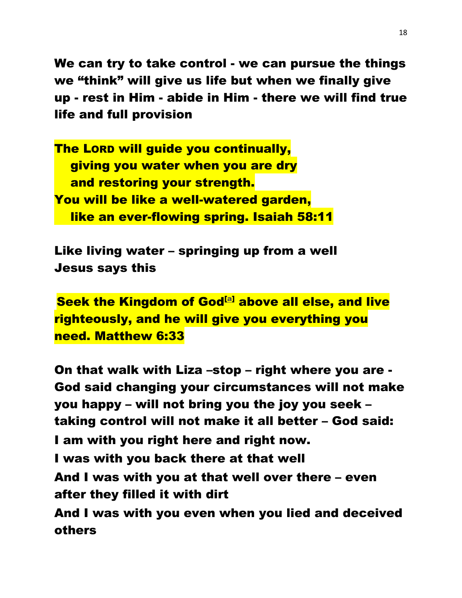We can try to take control - we can pursue the things we "think" will give us life but when we finally give up - rest in Him - abide in Him - there we will find true life and full provision

The LORD will guide you continually, giving you water when you are dry and restoring your strength. You will be like a well-watered garden, like an ever-flowing spring. Isaiah 58:11

Like living water – springing up from a well Jesus says this

Seek the Kingdom of God<sup>[a]</sup> above all else, and live righteously, and he will give you everything you need. Matthew 6:33

On that walk with Liza –stop – right where you are - God said changing your circumstances will not make you happy – will not bring you the joy you seek – taking control will not make it all better – God said: I am with you right here and right now. I was with you back there at that well And I was with you at that well over there – even after they filled it with dirt And I was with you even when you lied and deceived others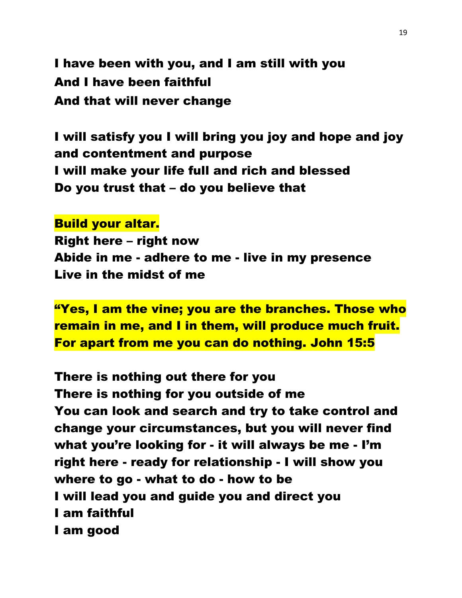I have been with you, and I am still with you And I have been faithful And that will never change

I will satisfy you I will bring you joy and hope and joy and contentment and purpose I will make your life full and rich and blessed Do you trust that – do you believe that

#### Build your altar.

Right here – right now Abide in me - adhere to me - live in my presence Live in the midst of me

"Yes, I am the vine; you are the branches. Those who remain in me, and I in them, will produce much fruit. For apart from me you can do nothing. John 15:5

There is nothing out there for you There is nothing for you outside of me You can look and search and try to take control and change your circumstances, but you will never find what you're looking for - it will always be me - I'm right here - ready for relationship - I will show you where to go - what to do - how to be I will lead you and guide you and direct you I am faithful I am good